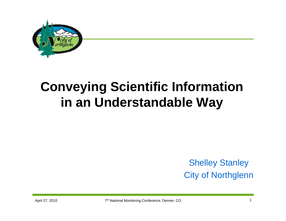

# **Conveying Scientific Information in an Understandable Way**

Shelley Stanley City of Northglenn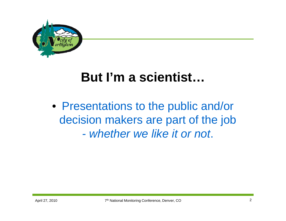

### **But I'm a scientist…**

• Presentations to the public and/or decision makers are part of the job *- whether we like it or not*.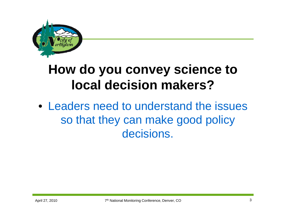

## **How do you convey science to convey local decision makers?**

• Leaders need to understand the issues so that they can make good policy decisions.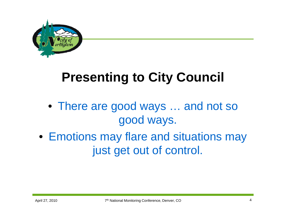

# **Presenting to City Council**

- There are good ways … and not so good ways.
- Emotions may flare and situations may just get out of control.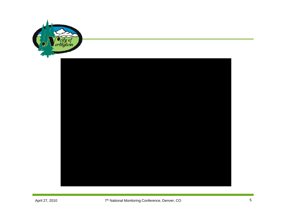

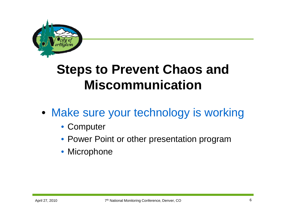

#### • Make sure your technology is working

- Computer
- Power Point or other presentation program
- Microphone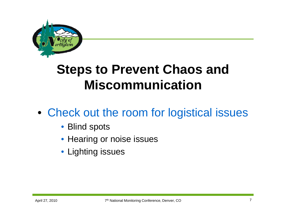

#### • Check out the room for logistical issues

- $\bullet$  Blind spots
- Hearing or noise issues
- Lighting issues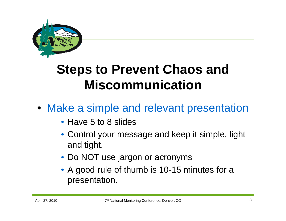

- Make a simple and relevant presentation
	- Have 5 to 8 slides
	- Control your message and keep it simple, light and tight.
	- Do NOT use jargon or acronyms
	- A good rule of thumb is 10-15 minutes for a presentation .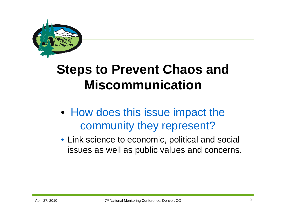

- How does this issue impact the community they represent?
- Link science to economic, political and social issues as well as public values and concerns.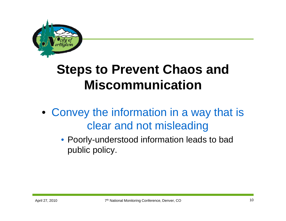

- Convey the information in a way that is clear and not misleading
	- Poorly-understood information leads to bad public policy.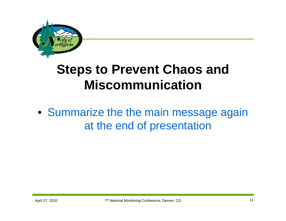

• Summarize the the main message again at the end of presentation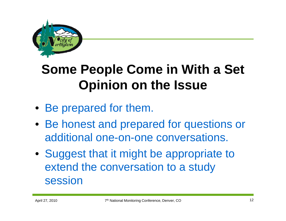

# **Some People Come in With <sup>a</sup> Set ome Opinion on the Issue**

- Be prepared for them.
- Be honest and prepared for questions or additional one-on-one conversations.
- Suggest that it might be appropriate to extend the conversation to a study session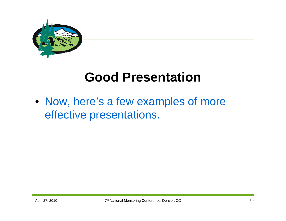

### **Good Presentation**

• Now, here's a few examples of more effective presentations.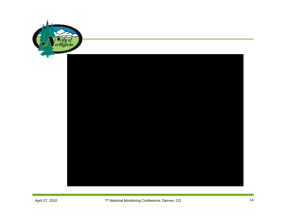